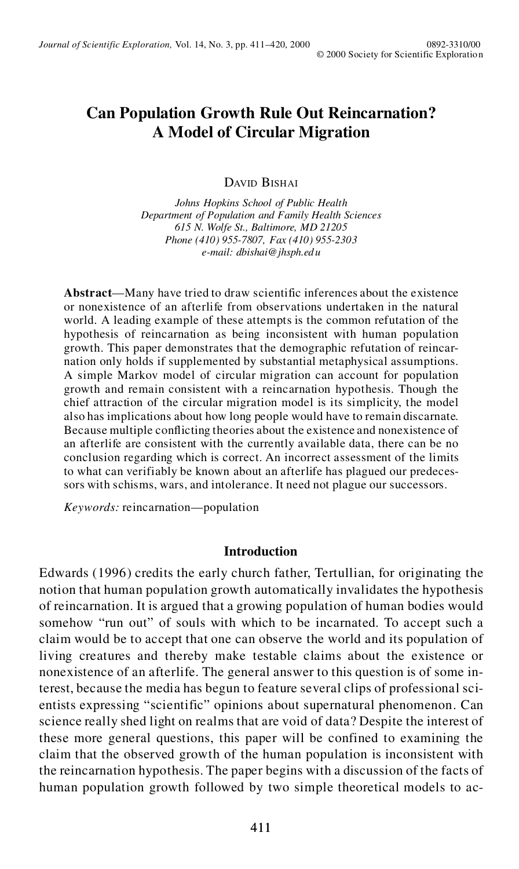# **Can Population Growth Rule Out Reincarnation? A Model of Circular Migration**

DAVID BISHAI

*Johns Hopkins School of Public Health Department of Population and Family Health Sciences 615 N. Wolfe St., Baltimore, MD 21205 Phone (410) 955-7807, Fax (410) 955-2303 e-mail: dbishai@jhsph.edu*

**Abstract**—Many have tried to draw scientific inferences about the existence or nonexistence of an afterlife from observations undertaken in the natural world. A leading example of these attempts is the common refutation of the hypothesis of reincarnation as being inconsistent with human population growth. This paper demonstrates that the demographic refutation of reincar nation only holds if supplemented by substantial metaphysical assumptions. A simple Markov model of circular migration can account for population growth and remain consistent with a reincarnation hypothesis. Though the chief attraction of the circular migration model is its simplicity, the model also has implications about how long people would have to remain discarnate. Because multiple conflicting theories about the existence and nonexistence of an afterlife are consistent with the currently available data, there can be no conclusion regarding which is correct. An incorrect assessment of the limits to what can verifiably be known about an afterlife has plagued our predeces sors with schisms, wars, and intolerance. It need not plague our successors.

*Keywords:* reincarnation—population

# **Introduction**

Edwards (1996) credits the early church father, Tertullian, for originating the notion that human population growth automatically invalidates the hypothesis of reincarnation. It is argued that a growing population of human bodies would somehow "run out" of souls with which to be incarnated. To accept such a claim would be to accept that one can observe the world and its population of living creatures and thereby make testable claims about the existence or nonexistence of an afterlife. The general answer to this question is of some interest, because the media has begun to feature several clips of professional sci entists expressing "scientific" opinions about supernatural phenomenon. Can science really shed light on realms that are void of data? Despite the interest of these more general questions, this paper will be confined to examining the claim that the observed growth of the human population is inconsistent with the reincarnation hypothesis. The paper begins with a discussion of the facts of human population growth followed by two simple theoretical models to ac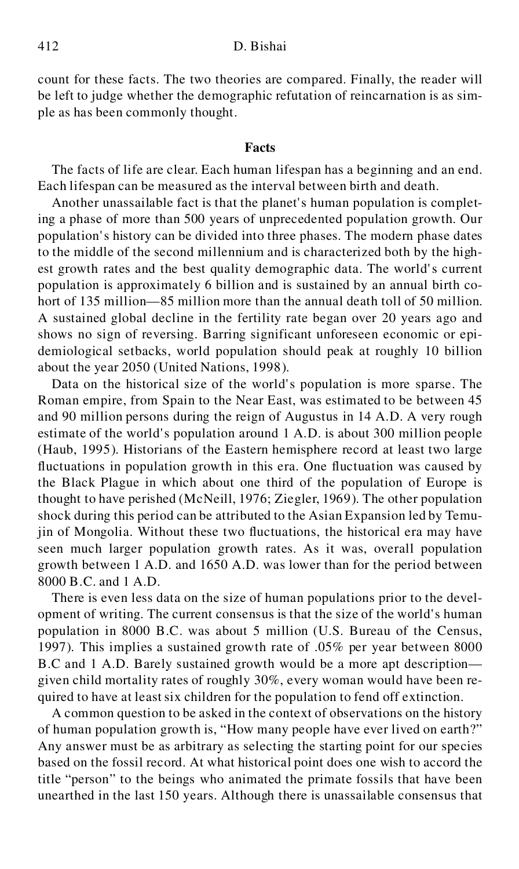count for these facts. The two theories are compared. Finally, the reader will be left to judge whether the demographic refutation of reincarnation is as sim ple as has been commonly thought.

#### **Facts**

The facts of life are clear. Each human lifespan has a beginning and an end. Each lifespan can be measured as the interval between birth and death.

Another unassailable fact is that the planet's human population is completing a phase of more than 500 years of unprecedented population growth. Our population's history can be divided into three phases. The modern phase dates to the middle of the second millennium and is characterized both by the high est growth rates and the best quality demographic data. The world's current population is approximately 6 billion and is sustained by an annual birth co hort of 135 million—85 million more than the annual death toll of 50 million. A sustained global decline in the fertility rate began over 20 years ago and shows no sign of reversing. Barring significant unforeseen economic or epi demiological setbacks, world population should peak at roughly 10 billion about the year 2050 (United Nations, 1998).

Data on the historical size of the world's population is more sparse. The Roman empire, from Spain to the Near East, was estimated to be between 45 and 90 million persons during the reign of Augustus in 14 A.D. A very rough estimate of the world's population around 1 A.D. is about 300 million people (Haub, 1995). Historians of the Eastern hemisphere record at least two large fluctuations in population growth in this era. One fluctuation was caused by the Black Plague in which about one third of the population of Europe is thought to have perished (McNeill, 1976; Ziegler, 1969). The other population shock during this period can be attributed to the Asian Expansion led by Temujin of Mongolia. Without these two fluctuations, the historical era may have seen much larger population growth rates. As it was, overall population growth between 1 A.D. and 1650 A.D. was lower than for the period between 8000 B.C. and 1 A.D.

There is even less data on the size of human populations prior to the devel opment of writing. The current consensus is that the size of the world's human population in 8000 B.C. was about 5 million (U.S. Bureau of the Census, 1997). This implies a sustained growth rate of .05% per year between 8000 B.C and 1 A.D. Barely sustained growth would be a more apt description given child mortality rates of roughly 30%, every woman would have been re quired to have at least six children for the population to fend off extinction.

A common question to be asked in the context of observations on the history of human population growth is, "How many people have ever lived on earth?" Any answer must be as arbitrary as selecting the starting point for our species based on the fossil record. At what historical point does one wish to accord the title "person" to the beings who animated the primate fossils that have been unearthed in the last 150 years. Although there is unassailable consensus that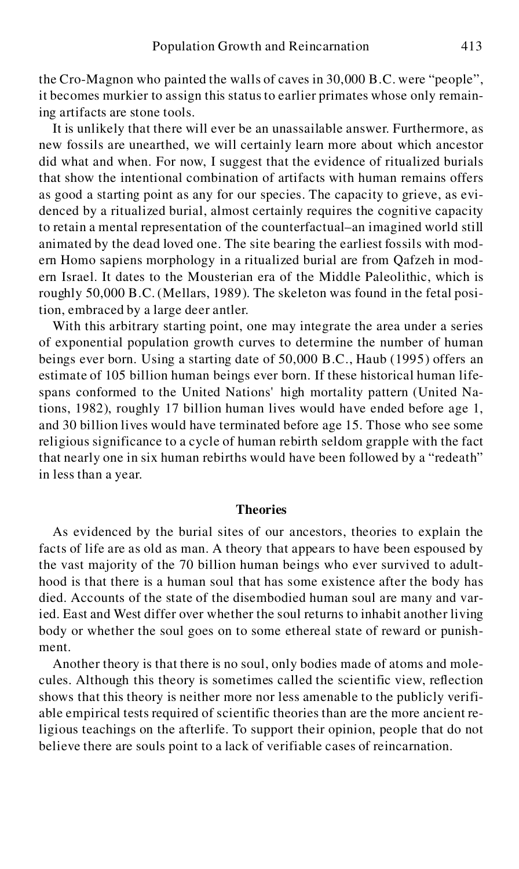the Cro-Magnon who painted the walls of caves in 30,000 B.C. were "people", it becomes murkier to assign this status to earlier primates whose only remaining artifacts are stone tools.

It is unlikely that there will ever be an unassailable answer. Furthermore, as new fossils are unearthed, we will certainly learn more about which ancestor did what and when. For now, I suggest that the evidence of ritualized burials that show the intentional combination of artifacts with human remains offers as good a starting point as any for our species. The capacity to grieve, as evi denced by a ritualized burial, almost certainly requires the cognitive capacity to retain a mental representation of the counterfactual–an imagined world still animated by the dead loved one. The site bearing the earliest fossils with mod ern Homo sapiens morphology in a ritualized burial are from Qafzeh in mod ern Israel. It dates to the Mousterian era of the Middle Paleolithic, which is roughly 50,000 B.C. (Mellars, 1989). The skeleton was found in the fetal position, embraced by a large deer antler.

With this arbitrary starting point, one may integrate the area under a series of exponential population growth curves to determine the number of human beings ever born. Using a starting date of 50,000 B.C., Haub (1995) offers an estimate of 105 billion human beings ever born. If these historical human lifespans conformed to the United Nations' high mortality pattern (United Nations, 1982), roughly 17 billion human lives would have ended before age 1, and 30 billion lives would have terminated before age 15. Those who see some religious significance to a cycle of human rebirth seldom grapple with the fact that nearly one in six human rebirths would have been followed by a "redeath" in less than a year.

# **Theories**

As evidenced by the burial sites of our ancestors, theories to explain the facts of life are as old as man. A theory that appears to have been espoused by the vast majority of the 70 billion human beings who ever survived to adult hood is that there is a human soul that has some existence after the body has died. Accounts of the state of the disembodied human soul are many and varied. East and West differ over whether the soul returns to inhabit another living body or whether the soul goes on to some ethereal state of reward or punish ment.

Another theory is that there is no soul, only bodies made of atoms and mole cules. Although this theory is sometimes called the scientific view, reflection shows that this theory is neither more nor less amenable to the publicly verifi able empirical tests required of scientific theories than are the more ancient religious teachings on the afterlife. To support their opinion, people that do not believe there are souls point to a lack of verifiable cases of reincarnation.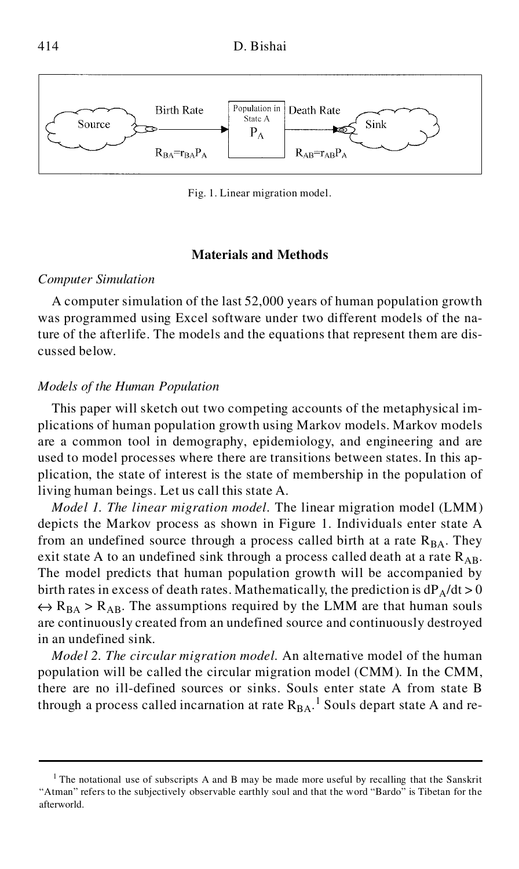

Fig. 1. Linear migration model.

# **Materials and Methods**

# *Computer Simulation*

A computer simulation of the last 52,000 years of human population growth was programmed using Excel software under two different models of the nature of the afterlife. The models and the equations that represent them are dis cussed below.

## *Models of the Human Population*

This paper will sketch out two competing accounts of the metaphysical im plications of human population growth using Markov models. Markov models are a common tool in demography, epidemiology, and engineering and are used to model processes where there are transitions between states. In this ap plication, the state of interest is the state of membership in the population of living human beings. Let us call this state A.

*Model 1. The linear migration model.* The linear migration model (LMM) depicts the Markov process as shown in Figure 1. Individuals enter state A from an undefined source through a process called birth at a rate  $R_{BA}$ . They exit state A to an undefined sink through a process called death at a rate  $R_{AR}$ . The model predicts that human population growth will be accompanied by birth rates in excess of death rates. Mathematically, the prediction is  $dP_A/dt > 0$  $\leftrightarrow$  R<sub>BA</sub> > R<sub>AB</sub>. The assumptions required by the LMM are that human souls are continuously created from an undefined source and continuously destroyed in an undefined sink.

*Model 2. The circular migration model.* An alternative model of the human population will be called the circular migration model (CMM). In the CMM, there are no ill-defined sources or sinks. Souls enter state A from state B through a process called incarnation at rate  $R_{BA}$ .<sup>1</sup> Souls depart state A and re-

<sup>&</sup>lt;sup>1</sup> The notational use of subscripts A and B may be made more useful by recalling that the Sanskrit "Atman" refers to the subjectively observable earthly soul and that the word "Bardo" is Tibetan for the afterworld.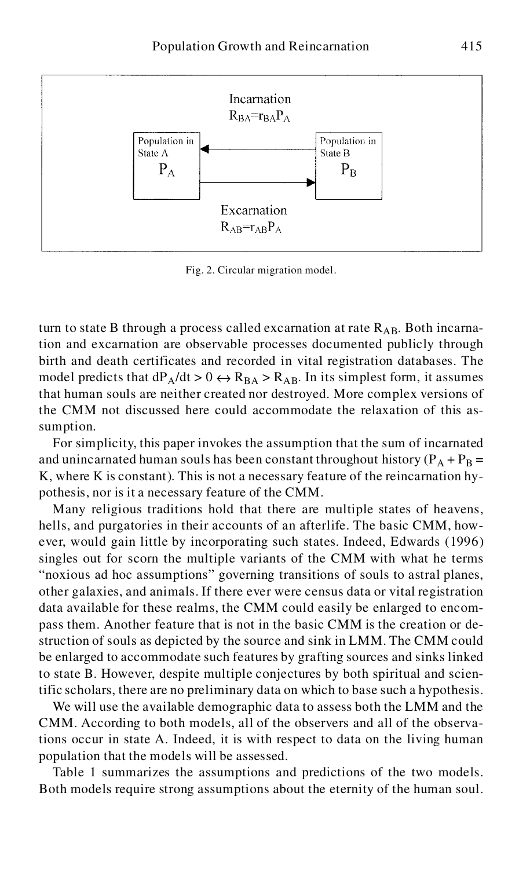

Fig. 2. Circular migration model.

turn to state B through a process called excarnation at rate  $R_{AB}$ . Both incarnation and excarnation are observable processes documented publicly through birth and death certificates and recorded in vital registration databases. The model predicts that  $dP_A/dt > 0 \leftrightarrow R_{BA} > R_{AB}$ . In its simplest form, it assumes that human souls are neither created nor destroyed. More complex versions of the CMM not discussed here could accommodate the relaxation of this assumption.

For simplicity, this paper invokes the assumption that the sum of incarnated and unincarnated human souls has been constant throughout history ( $P_A + P_B$  = K, where K is constant). This is not a necessary feature of the reincarnation hy pothesis, nor is it a necessary feature of the CMM.

Many religious traditions hold that there are multiple states of heavens, hells, and purgatories in their accounts of an afterlife. The basic CMM, how ever, would gain little by incorporating such states. Indeed, Edwards (1996) singles out for scorn the multiple variants of the CMM with what he terms "noxious ad hoc assumptions" governing transitions of souls to astral planes, other galaxies, and animals. If there ever were census data or vital registration data available for these realms, the CMM could easily be enlarged to encom pass them. Another feature that is not in the basic CMM is the creation or destruction of souls as depicted by the source and sink in LMM. The CMM could be enlarged to accommodate such features by grafting sources and sinks linked to state B. However, despite multiple conjectures by both spiritual and scientific scholars, there are no preliminary data on which to base such a hypothesis.

We will use the available demographic data to assess both the LMM and the CMM. According to both models, all of the observers and all of the observations occur in state A. Indeed, it is with respect to data on the living human population that the models will be assessed.

Table 1 summarizes the assumptions and predictions of the two models. Both models require strong assumptions about the eternity of the human soul.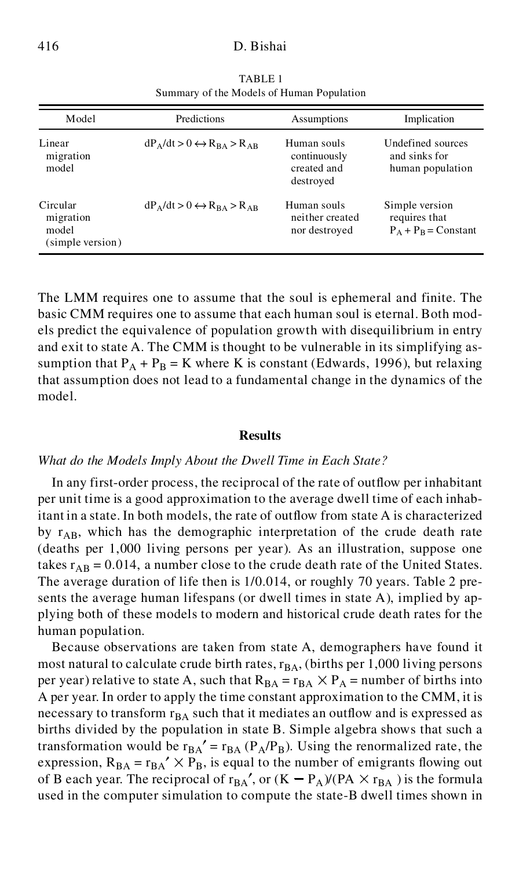#### 416 D. Bishai

| Model                                              | Predictions                                     | Assumptions                                             | Implication                                               |
|----------------------------------------------------|-------------------------------------------------|---------------------------------------------------------|-----------------------------------------------------------|
| Linear<br>migration<br>model                       | $dP_{A}/dt > 0 \leftrightarrow R_{BA} > R_{AB}$ | Human souls<br>continuously<br>created and<br>destroyed | Undefined sources<br>and sinks for<br>human population    |
| Circular<br>migration<br>model<br>(simple version) | $dP_A/dt > 0 \leftrightarrow R_{BA} > R_{AB}$   | Human souls<br>neither created<br>nor destroyed         | Simple version<br>requires that<br>$P_A + P_B =$ Constant |

TABLE 1 Summary of the Models of Human Population

The LMM requires one to assume that the soul is ephemeral and finite. The basic CMM requires one to assume that each human soul is eternal. Both mod els predict the equivalence of population growth with disequilibrium in entry and exit to state A. The CMM is thought to be vulnerable in its simplifying assumption that  $P_A + P_B = K$  where K is constant (Edwards, 1996), but relaxing that assumption does not lead to a fundamental change in the dynamics of the model.

## **Results**

# *What do the Models Imply About the Dwell Time in Each State?*

In any first-order process, the reciprocal of the rate of outflow per inhabitant per unit time is a good approximation to the average dwell time of each inhabitant in a state. In both models, the rate of outflow from state A is characterized by  $r_{AB}$ , which has the demographic interpretation of the crude death rate (deaths per 1,000 living persons per year). As an illustration, suppose one takes  $r_{AB} = 0.014$ , a number close to the crude death rate of the United States. The average duration of life then is 1/0.014, or roughly 70 years. Table 2 presents the average human lifespans (or dwell times in state A), implied by ap plying both of these models to modern and historical crude death rates for the human population.

Because observations are taken from state A, demographers have found it most natural to calculate crude birth rates,  $r_{BA}$ , (births per 1,000 living persons per year) relative to state A, such that  $R_{BA} = r_{BA} \times P_A$  = number of births into A per year. In order to apply the time constant approximation to the CMM, it is necessary to transform  $r<sub>BA</sub>$  such that it mediates an outflow and is expressed as births divided by the population in state B. Simple algebra shows that such a transformation would be  $r_{BA}' = r_{BA} (P_A/P_B)$ . Using the renormalized rate, the expression,  $R_{BA} = r_{BA}^{\prime} \times P_B$ , is equal to the number of emigrants flowing out of B each year. The reciprocal of  $r_{BA}$ , or  $(K - P_A)/(P_A \times r_{BA})$  is the formula used in the computer simulation to compute the state-B dwell times shown in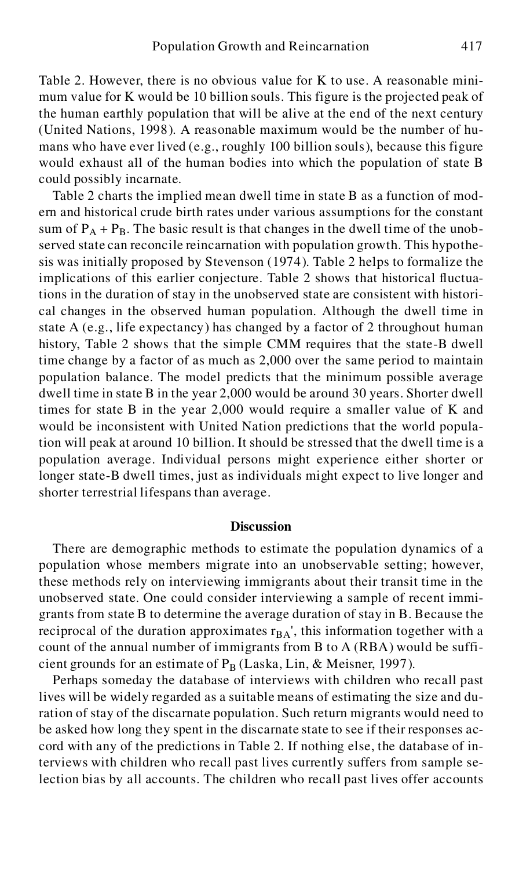Table 2. However, there is no obvious value for K to use. A reasonable mini mum value for K would be 10 billion souls. This figure is the projected peak of the human earthly population that will be alive at the end of the next century (United Nations, 1998). A reasonable maximum would be the number of hu mans who have ever lived (e.g., roughly 100 billion souls), because this figure would exhaust all of the human bodies into which the population of state B could possibly incarnate.

Table 2 charts the implied mean dwell time in state B as a function of mod ern and historical crude birth rates under various assumptions for the constant sum of  $P_A + P_B$ . The basic result is that changes in the dwell time of the unobserved state can reconcile reincarnation with population growth. This hypothesis was initially proposed by Stevenson (1974). Table 2 helps to formalize the implications of this earlier conjecture. Table 2 shows that historical fluctuations in the duration of stay in the unobserved state are consistent with histori cal changes in the observed human population. Although the dwell time in state A (e.g., life expectancy) has changed by a factor of 2 throughout human history, Table 2 shows that the simple CMM requires that the state-B dwell time change by a factor of as much as 2,000 over the same period to maintain population balance. The model predicts that the minimum possible average dwell time in state B in the year 2,000 would be around 30 years. Shorter dwell times for state B in the year 2,000 would require a smaller value of K and would be inconsistent with United Nation predictions that the world population will peak at around 10 billion. It should be stressed that the dwell time is a population average. Individual persons might experience either shorter or longer state-B dwell times, just as individuals might expect to live longer and shorter terrestrial lifespans than average.

#### **Discussion**

There are demographic methods to estimate the population dynamics of a population whose members migrate into an unobservable setting; however, these methods rely on interviewing immigrants about their transit time in the unobserved state. One could consider interviewing a sample of recent immi grants from state B to determine the average duration of stay in B. Because the reciprocal of the duration approximates  $r_{BA}$ ', this information together with a count of the annual number of immigrants from B to A (RBA) would be suffi cient grounds for an estimate of  $P_B$  (Laska, Lin, & Meisner, 1997).

Perhaps someday the database of interviews with children who recall past lives will be widely regarded as a suitable means of estimating the size and duration of stay of the discarnate population. Such return migrants would need to be asked how long they spent in the discarnate state to see if their responses ac cord with any of the predictions in Table 2. If nothing else, the database of interviews with children who recall past lives currently suffers from sample selection bias by all accounts. The children who recall past lives offer accounts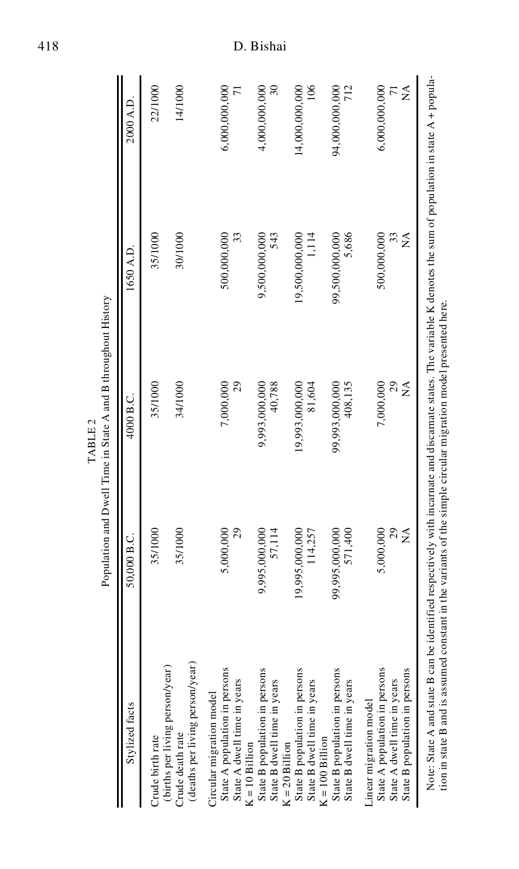| Stylized facts                                                                                                                                                                                                                                                                     | 50,000 B.C.                                     | Population and Dwell Time in State A and B throughout History<br>4000 B.C. | 1650 A.D.               | 2000 A.D.                                                          |
|------------------------------------------------------------------------------------------------------------------------------------------------------------------------------------------------------------------------------------------------------------------------------------|-------------------------------------------------|----------------------------------------------------------------------------|-------------------------|--------------------------------------------------------------------|
| Crude birth rate<br>(births per living person/year)                                                                                                                                                                                                                                | 35/1000                                         | 35/1000                                                                    | 35/1000                 | 22/1000                                                            |
| Crude death rate<br>(deaths per living person/year)                                                                                                                                                                                                                                | 35/1000                                         | 34/1000                                                                    | 30/1000                 | 14/1000                                                            |
| State A population in persons<br>State A dwell time in years<br>Circular migration model                                                                                                                                                                                           | 5,000,000<br>29                                 | 7,000,000<br>29                                                            | 500,000,000<br>33       | 6,000,000,000<br>71                                                |
| $K = 10$ Billion<br>State B population in persons<br>State B dwell time in years                                                                                                                                                                                                   | 9,995,000,000<br>57,114                         | 9,993,000,000<br>40,788                                                    | 9,500,000,000<br>543    | 4,000,000,000<br>$30\,$                                            |
| $K = 20$ Billion<br>State B population in persons<br>State B dwell time in years<br>$K = 100$ Billion                                                                                                                                                                              | 19,995,000,000<br>114,257                       | 19,993,000,000<br>81,604                                                   | 1,114<br>19,500,000,000 | 14,000,000,000<br>106                                              |
| State B population in persons<br>State B dwell time in years                                                                                                                                                                                                                       | 99,995,000,000<br>571,400                       | 99,993,000,000<br>408,135                                                  | 99,500,000,000<br>5,686 | 94,000,000,000<br>712                                              |
| rsons<br>State B population in persons<br>State A dwell time in years<br>State A population in per<br>Linear migration model                                                                                                                                                       | 5,000,000<br>29<br>$\stackrel{\triangle}{\geq}$ | 29<br>7,000,000<br>ÁN                                                      | 500,000,000<br>33<br>Á  | $\stackrel{\triangle}{\simeq}$<br>6,000,000,000<br>$\overline{71}$ |
| Note: State A and state B can be identified respectively with incarnate and discarnate states. The variable K denotes the sum of population in state A + popula-<br>tion in state B and is assumed constant in the variants of the simple circular migration model presented here. |                                                 |                                                                            |                         |                                                                    |

TABLE 2<br>Population and Dwell Time in State A and B throughout History

418 D. Bishai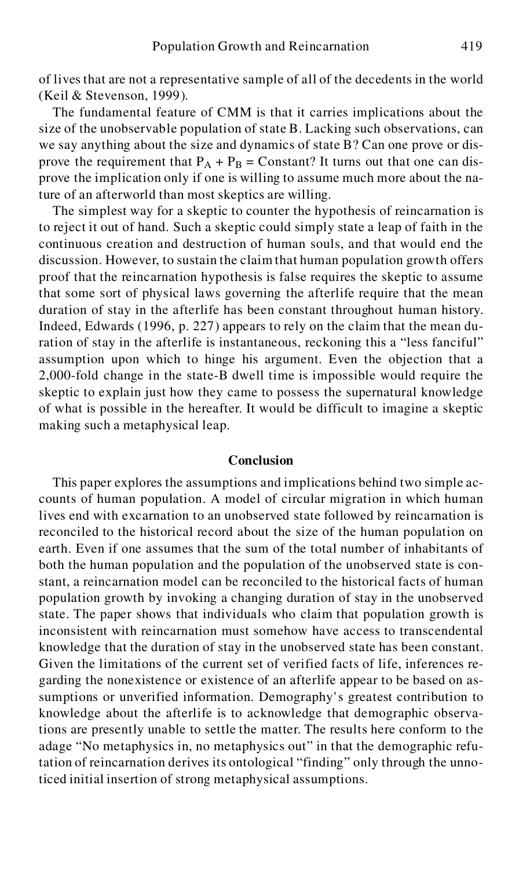of lives that are not a representative sample of all of the decedents in the world (Keil & Stevenson, 1999).

The fundamental feature of CMM is that it carries implications about the size of the unobservable population of state B. Lacking such observations, can we say anything about the size and dynamics of state B? Can one prove or dis prove the requirement that  $P_A + P_B =$  Constant? It turns out that one can disprove the implication only if one is willing to assume much more about the nature of an afterworld than most skeptics are willing.

The simplest way for a skeptic to counter the hypothesis of reincarnation is to reject it out of hand. Such a skeptic could simply state a leap of faith in the continuous creation and destruction of human souls, and that would end the discussion. However, to sustain the claim that human population growth offers proof that the reincarnation hypothesis is false requires the skeptic to assume that some sort of physical laws governing the afterlife require that the mean duration of stay in the afterlife has been constant throughout human history. Indeed, Edwards (1996, p. 227) appears to rely on the claim that the mean duration of stay in the afterlife is instantaneous, reckoning this a "less fanciful" assumption upon which to hinge his argument. Even the objection that a 2,000-fold change in the state-B dwell time is impossible would require the skeptic to explain just how they came to possess the supernatural knowledge of what is possible in the hereafter. It would be difficult to imagine a skeptic making such a metaphysical leap.

## **Conclusion**

This paper explores the assumptions and implications behind two simple ac counts of human population. A model of circular migration in which human lives end with excarnation to an unobserved state followed by reincarnation is reconciled to the historical record about the size of the human population on earth. Even if one assumes that the sum of the total number of inhabitants of both the human population and the population of the unobserved state is constant, a reincarnation model can be reconciled to the historical facts of human population growth by invoking a changing duration of stay in the unobserved state. The paper shows that individuals who claim that population growth is inconsistent with reincarnation must somehow have access to transcendental knowledge that the duration of stay in the unobserved state has been constant. Given the limitations of the current set of verified facts of life, inferences re garding the nonexistence or existence of an afterlife appear to be based on assumptions or unverified information. Demography's greatest contribution to knowledge about the afterlife is to acknowledge that demographic observations are presently unable to settle the matter. The results here conform to the adage "No metaphysics in, no metaphysics out" in that the demographic refutation of reincarnation derives its ontological "finding" only through the unnoticed initial insertion of strong metaphysical assumptions.